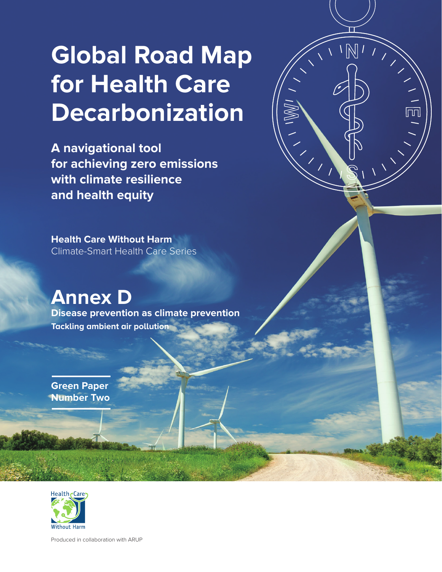# **Global Road Map for Health Care Decarbonization**

 $\sqrt{N}$ 

**A navigational tool for achieving zero emissions with climate resilience and health equity** 

**Health Care Without Harm** Climate-Smart Health Care Series

**Annex D Disease prevention as climate prevention Tackling ambient air pollution**

**Green Paper Number Two**



Produced in collaboration with ARUP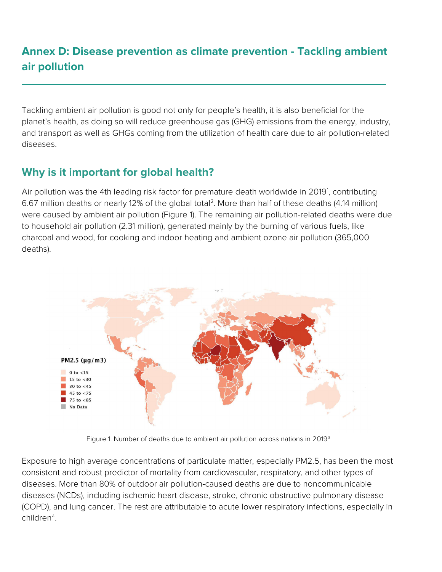# **Annex D: Disease prevention as climate prevention - Tackling ambient air pollution**

Tackling ambient air pollution is good not only for people's health, it is also beneficial for the planet's health, as doing so will reduce greenhouse gas (GHG) emissions from the energy, industry, and transport as well as GHGs coming from the utilization of health care due to air pollution-related diseases.

## **Why is it important for global health?**

Air pollution was the 4th leading risk factor for premature death worldwide in 20[1](#page-5-0)9<sup>1</sup>, contributing 6.67 million deaths or nearly 12% of the global total[2](#page-5-1). More than half of these deaths (4.14 million) were caused by ambient air pollution (Figure 1). The remaining air pollution-related deaths were due to household air pollution (2.31 million), generated mainly by the burning of various fuels, like charcoal and wood, for cooking and indoor heating and ambient ozone air pollution (365,000 deaths).



Figure 1. Number of deaths due to ambient air pollution across nations in 2019[3](#page-5-2)

Exposure to high average concentrations of particulate matter, especially PM2.5, has been the most consistent and robust predictor of mortality from cardiovascular, respiratory, and other types of diseases. More than 80% of outdoor air pollution-caused deaths are due to noncommunicable diseases (NCDs), including ischemic heart disease, stroke, chronic obstructive pulmonary disease (COPD), and lung cancer. The rest are attributable to acute lower respiratory infections, especially in children[4](#page-5-3) .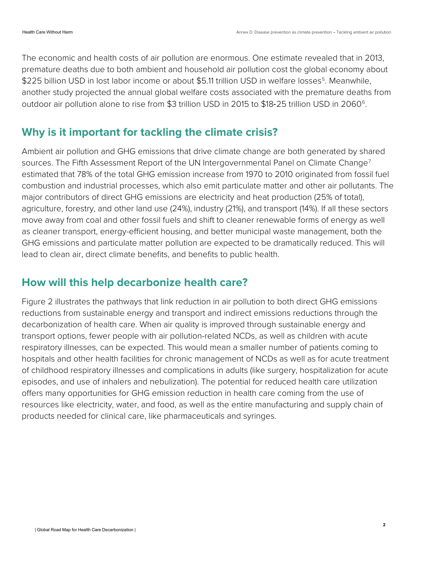The economic and health costs of air pollution are enormous. One estimate revealed that in 2013, premature deaths due to both ambient and household air pollution cost the global economy about \$22[5](#page-5-4) billion USD in lost labor income or about \$5.11 trillion USD in welfare losses<sup>5</sup>. Meanwhile, another study projected the annual global welfare costs associated with the premature deaths from outdoor air pollution alone to rise from \$3 trillion USD in 2015 to \$18-25 trillion USD in 20[6](#page-5-5)0<sup>6</sup>.

#### **Why is it important for tackling the climate crisis?**

Ambient air pollution and GHG emissions that drive climate change are both generated by shared sources. The Fifth Assessment Report of the UN Intergovernmental Panel on Climate Change<sup>[7](#page-5-6)</sup> estimated that 78% of the total GHG emission increase from 1970 to 2010 originated from fossil fuel combustion and industrial processes, which also emit particulate matter and other air pollutants. The major contributors of direct GHG emissions are electricity and heat production (25% of total), agriculture, forestry, and other land use (24%), industry (21%), and transport (14%). If all these sectors move away from coal and other fossil fuels and shift to cleaner renewable forms of energy as well as cleaner transport, energy-efficient housing, and better municipal waste management, both the GHG emissions and particulate matter pollution are expected to be dramatically reduced. This will lead to clean air, direct climate benefits, and benefits to public health.

#### **How will this help decarbonize health care?**

Figure 2 illustrates the pathways that link reduction in air pollution to both direct GHG emissions reductions from sustainable energy and transport and indirect emissions reductions through the decarbonization of health care. When air quality is improved through sustainable energy and transport options, fewer people with air pollution-related NCDs, as well as children with acute respiratory illnesses, can be expected. This would mean a smaller number of patients coming to hospitals and other health facilities for chronic management of NCDs as well as for acute treatment of childhood respiratory illnesses and complications in adults (like surgery, hospitalization for acute episodes, and use of inhalers and nebulization). The potential for reduced health care utilization offers many opportunities for GHG emission reduction in health care coming from the use of resources like electricity, water, and food, as well as the entire manufacturing and supply chain of products needed for clinical care, like pharmaceuticals and syringes.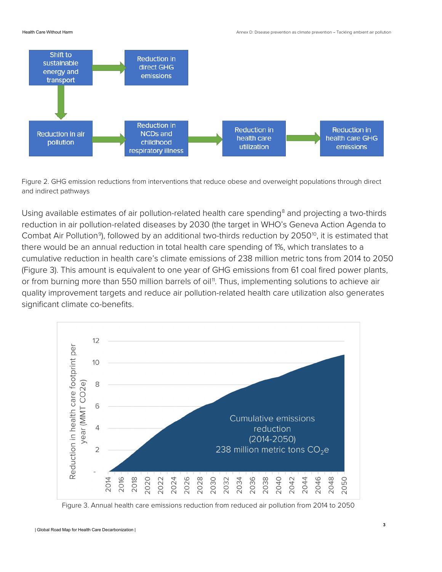

Figure 2. GHG emission reductions from interventions that reduce obese and overweight populations through direct and indirect pathways

Using available estimates of air pollution-related health care spending<sup>[8](#page-5-7)</sup> and projecting a two-thirds reduction in air pollution-related diseases by 2030 (the target in WHO's Geneva Action Agenda to Combat Air Pollution<sup>9</sup>), followed by an additional two-thirds reduction by 2050<sup>10</sup>, it is estimated that there would be an annual reduction in total health care spending of 1%, which translates to a cumulative reduction in health care's climate emissions of 238 million metric tons from 2014 to 2050 (Figure 3). This amount is equivalent to one year of GHG emissions from 61 coal fired power plants, or from burning more than 550 million barrels of oil<sup>11</sup>. Thus, implementing solutions to achieve air quality improvement targets and reduce air pollution-related health care utilization also generates significant climate co-benefits.



Figure 3. Annual health care emissions reduction from reduced air pollution from 2014 to 2050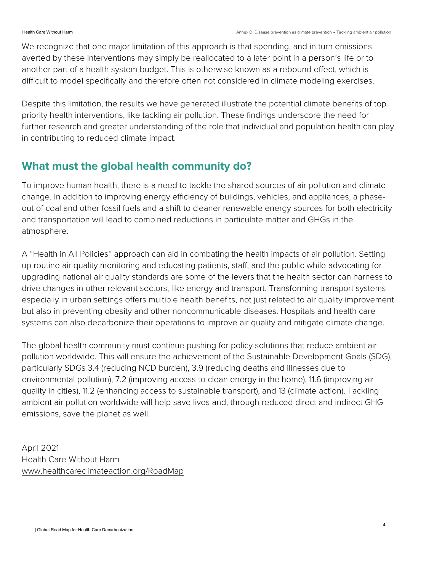We recognize that one major limitation of this approach is that spending, and in turn emissions averted by these interventions may simply be reallocated to a later point in a person's life or to another part of a health system budget. This is otherwise known as a rebound effect, which is difficult to model specifically and therefore often not considered in climate modeling exercises.

Despite this limitation, the results we have generated illustrate the potential climate benefits of top priority health interventions, like tackling air pollution. These findings underscore the need for further research and greater understanding of the role that individual and population health can play in contributing to reduced climate impact.

### **What must the global health community do?**

To improve human health, there is a need to tackle the shared sources of air pollution and climate change. In addition to improving energy efficiency of buildings, vehicles, and appliances, a phaseout of coal and other fossil fuels and a shift to cleaner renewable energy sources for both electricity and transportation will lead to combined reductions in particulate matter and GHGs in the atmosphere.

A ''Health in All Policies'' approach can aid in combating the health impacts of air pollution. Setting up routine air quality monitoring and educating patients, staff, and the public while advocating for upgrading national air quality standards are some of the levers that the health sector can harness to drive changes in other relevant sectors, like energy and transport. Transforming transport systems especially in urban settings offers multiple health benefits, not just related to air quality improvement but also in preventing obesity and other noncommunicable diseases. Hospitals and health care systems can also decarbonize their operations to improve air quality and mitigate climate change.

The global health community must continue pushing for policy solutions that reduce ambient air pollution worldwide. This will ensure the achievement of the Sustainable Development Goals (SDG), particularly SDGs 3.4 (reducing NCD burden), 3.9 (reducing deaths and illnesses due to environmental pollution), 7.2 (improving access to clean energy in the home), 11.6 (improving air quality in cities), 11.2 (enhancing access to sustainable transport), and 13 (climate action). Tackling ambient air pollution worldwide will help save lives and, through reduced direct and indirect GHG emissions, save the planet as well.

April 2021 Health Care Without Harm [www.healthcareclimateaction.org/RoadMap](http://www.healthcareclimateaction.org/RoadMap)